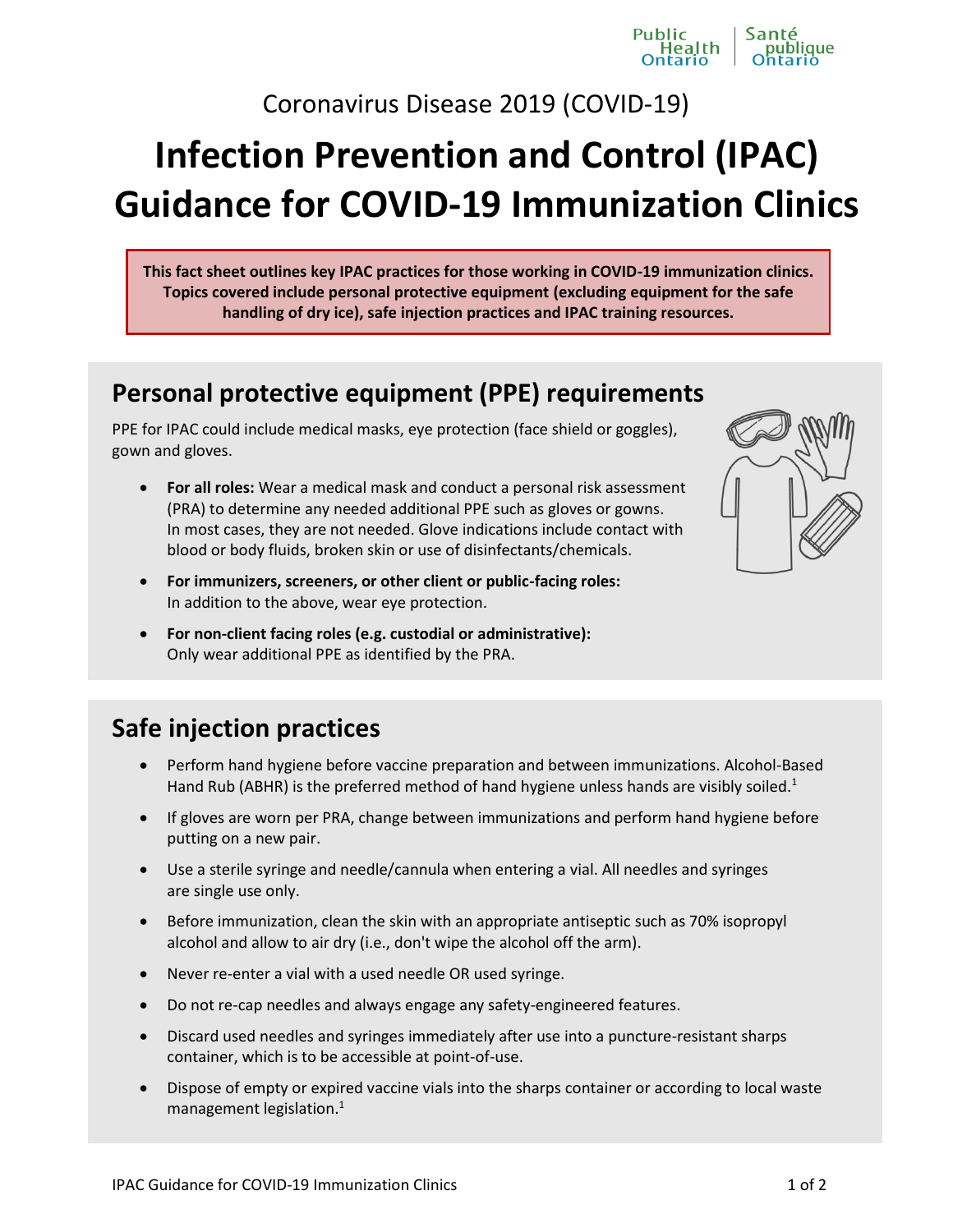Coronavirus Disease 2019 (COVID-19)

Public

ne<br>lealth

# **Infection Prevention and Control (IPAC) Guidance for COVID-19 Immunization Clinics**

**This fact sheet outlines key IPAC practices for those working in COVID-19 immunization clinics. Topics covered include personal protective equipment (excluding equipment for the safe handling of dry ice), safe injection practices and IPAC training resources.**

#### **Personal protective equipment (PPE) requirements**

PPE for IPAC could include medical masks, eye protection (face shield or goggles), gown and gloves.

- **For all roles:** Wear a medical mask and conduct a personal risk assessment (PRA) to determine any needed additional PPE such as gloves or gowns. In most cases, they are not needed. Glove indications include contact with blood or body fluids, broken skin or use of disinfectants/chemicals.
- **For immunizers, screeners, or other client or public-facing roles:** In addition to the above, wear eye protection.
- **For non-client facing roles (e.g. custodial or administrative):** Only wear additional PPE as identified by the PRA.

## **Safe injection practices**

- Perform hand hygiene before vaccine preparation and between immunizations. Alcohol-Based Hand Rub (ABHR) is the preferred method of hand hygiene unless hands are visibly soiled.<sup>1</sup>
- If gloves are worn per PRA, change between immunizations and perform hand hygiene before putting on a new pair.
- Use a sterile syringe and needle/cannula when entering a vial. All needles and syringes are single use only.
- **Before immunization, clean the skin with an appropriate antiseptic such as 70% isopropyl** alcohol and allow to air dry (i.e., don't wipe the alcohol off the arm).
- Never re-enter a vial with a used needle OR used syringe.
- Do not re-cap needles and always engage any safety-engineered features.
- Discard used needles and syringes immediately after use into a puncture-resistant sharps container, which is to be accessible at point-of-use.
- Dispose of empty or expired vaccine vials into the sharps container or according to local waste management legislation.<sup>1</sup>